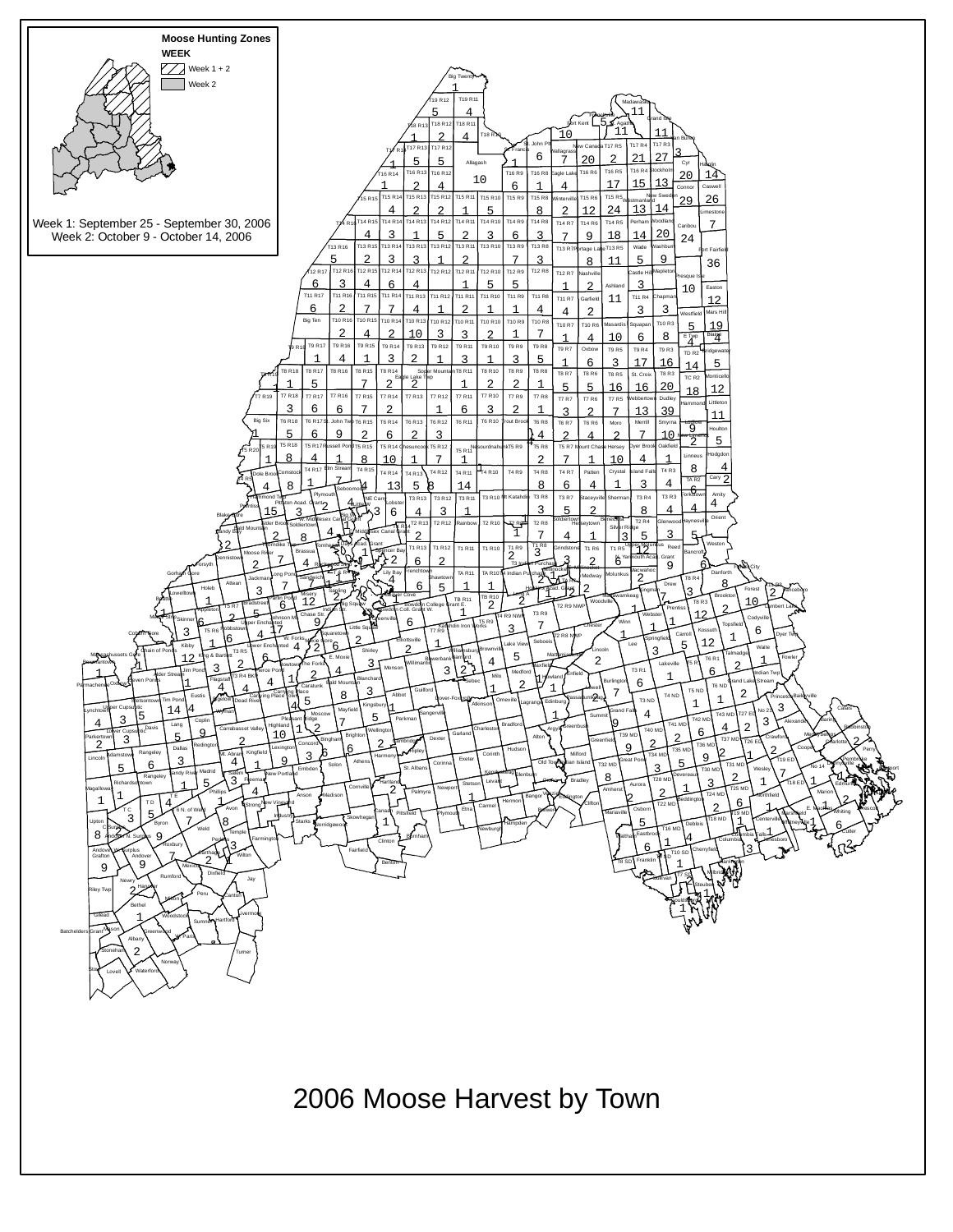